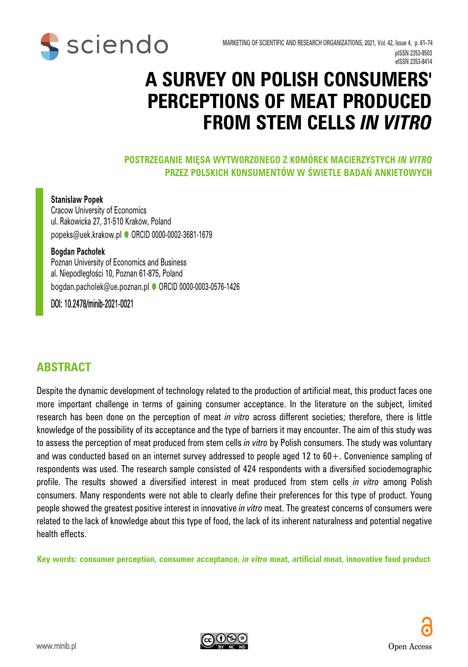

# **A SURVEY ON POLISH CONSUMERS' PERCEPTIONS OF MEAT PRODUCED FROM STEM CELLS** *IN VITRO*

**POSTRZEGANIE MIĘSA WYTWORZONEGO Z KOMÓREK MACIERZYSTYCH** *IN VITRO*  **PRZEZ POLSKICH KONSUMENTÓW W ŚWIETLE BADAŃ ANKIETOWYCH**

#### **Stanislaw Popek**

Cracow University of Economics ul. Rakowicka 27, 31-510 Kraków, Poland popeks@uek.krakow.pl ORCID 0000-0002-3681-1679

#### **Bogdan Pachołek**

Poznan University of Economics and Business al. Niepodległości 10, Poznan 61-875, Poland bogdan.pacholek@ue.poznan.pl [ORCID 0000-0003-0576-1426](https://orcid.org/0000-0003-0576-1426)

DOI: 10.2478/minib-2021-0021

## **ABSTRACT**

Despite the dynamic development of technology related to the production of artificial meat, this product faces one more important challenge in terms of gaining consumer acceptance. In the literature on the subject, limited research has been done on the perception of meat *in vitro* across different societies; therefore, there is little knowledge of the possibility of its acceptance and the type of barriers it may encounter. The aim of this study was to assess the perception of meat produced from stem cells *in vitro* by Polish consumers. The study was voluntary and was conducted based on an internet survey addressed to people aged 12 to  $60+$ . Convenience sampling of respondents was used. The research sample consisted of 424 respondents with a diversified sociodemographic profile. The results showed a diversified interest in meat produced from stem cells *in vitro* among Polish consumers. Many respondents were not able to clearly define their preferences for this type of product. Young people showed the greatest positive interest in innovative *in vitro* meat. The greatest concerns of consumers were related to the lack of knowledge about this type of food, the lack of its inherent naturalness and potential negative health effects.

**Key words: consumer perception, consumer acceptance,** *in vitro* **meat, artificial meat, innovative food product**

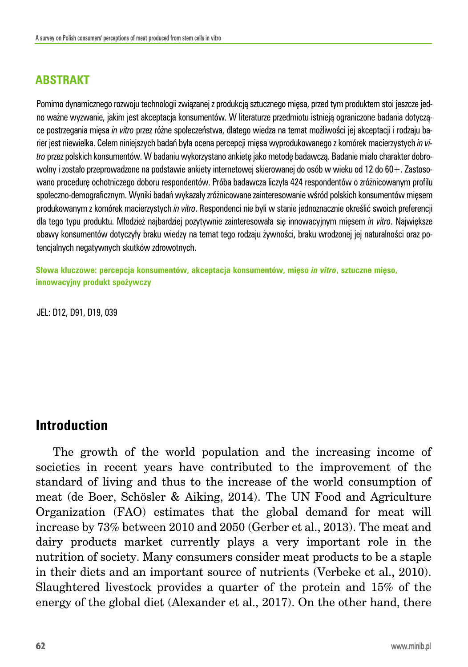## **ARSTRAKT**

Pomimo dynamicznego rozwoju technologii związanej z produkcją sztucznego mięsa, przed tym produktem stoi jeszcze jedno ważne wyzwanie, jakim jest akceptacja konsumentów. W literaturze przedmiotu istnieją ograniczone badania dotyczące postrzegania mięsa *in vitro* przez różne społeczeństwa, dlatego wiedza na temat możliwości jej akceptacji i rodzaju barier jest niewielka. Celem niniejszych badań była ocena percepcji mięsa wyprodukowanego z komórek macierzystych *in vitro* przez polskich konsumentów. W badaniu wykorzystano ankietę jako metodę badawczą. Badanie miało charakter dobrowolny i zostało przeprowadzone na podstawie ankiety internetowej skierowanej do osób w wieku od 12 do 60+. Zastosowano procedurę ochotniczego doboru respondentów. Próba badawcza liczyła 424 respondentów o zróżnicowanym profilu społeczno-demograficznym. Wyniki badań wykazały zróżnicowane zainteresowanie wśród polskich konsumentów mięsem produkowanym z komórek macierzystych *in vitro*. Respondenci nie byli w stanie jednoznacznie określić swoich preferencji dla tego typu produktu. Młodzież najbardziej pozytywnie zainteresowała się innowacyjnym mięsem *in vitro*. Największe obawy konsumentów dotyczyły braku wiedzy na temat tego rodzaju żywności, braku wrodzonej jej naturalności oraz potencjalnych negatywnych skutków zdrowotnych.

**Słowa kluczowe: percepcja konsumentów, akceptacja konsumentów, mięso** *in vitro***, sztuczne mięso, innowacyjny produkt spożywczy**

JEL: D12, D91, D19, 039

# **Introduction**

The growth of the world population and the increasing income of societies in recent years have contributed to the improvement of the standard of living and thus to the increase of the world consumption of meat (de Boer, Schösler & Aiking, 2014). The UN Food and Agriculture Organization (FAO) estimates that the global demand for meat will increase by 73% between 2010 and 2050 (Gerber et al., 2013). The meat and dairy products market currently plays a very important role in the nutrition of society. Many consumers consider meat products to be a staple in their diets and an important source of nutrients (Verbeke et al., 2010). Slaughtered livestock provides a quarter of the protein and 15% of the energy of the global diet (Alexander et al., 2017). On the other hand, there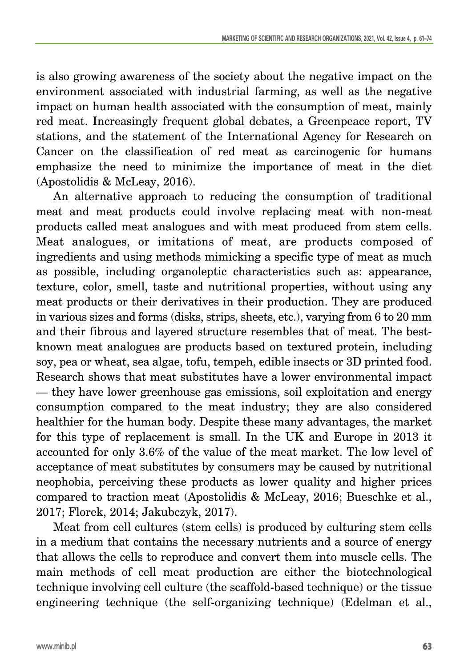is also growing awareness of the society about the negative impact on the environment associated with industrial farming, as well as the negative impact on human health associated with the consumption of meat, mainly red meat. Increasingly frequent global debates, a Greenpeace report, TV stations, and the statement of the International Agency for Research on Cancer on the classification of red meat as carcinogenic for humans emphasize the need to minimize the importance of meat in the diet (Apostolidis & McLeay, 2016).

An alternative approach to reducing the consumption of traditional meat and meat products could involve replacing meat with non-meat products called meat analogues and with meat produced from stem cells. Meat analogues, or imitations of meat, are products composed of ingredients and using methods mimicking a specific type of meat as much as possible, including organoleptic characteristics such as: appearance, texture, color, smell, taste and nutritional properties, without using any meat products or their derivatives in their production. They are produced in various sizes and forms (disks, strips, sheets, etc.), varying from 6 to 20 mm and their fibrous and layered structure resembles that of meat. The bestknown meat analogues are products based on textured protein, including soy, pea or wheat, sea algae, tofu, tempeh, edible insects or 3D printed food. Research shows that meat substitutes have a lower environmental impact — they have lower greenhouse gas emissions, soil exploitation and energy consumption compared to the meat industry; they are also considered healthier for the human body. Despite these many advantages, the market for this type of replacement is small. In the UK and Europe in 2013 it accounted for only 3.6% of the value of the meat market. The low level of acceptance of meat substitutes by consumers may be caused by nutritional neophobia, perceiving these products as lower quality and higher prices compared to traction meat (Apostolidis & McLeay, 2016; Bueschke et al., 2017; Florek, 2014; Jakubczyk, 2017).

Meat from cell cultures (stem cells) is produced by culturing stem cells in a medium that contains the necessary nutrients and a source of energy that allows the cells to reproduce and convert them into muscle cells. The main methods of cell meat production are either the biotechnological technique involving cell culture (the scaffold-based technique) or the tissue engineering technique (the self-organizing technique) (Edelman et al.,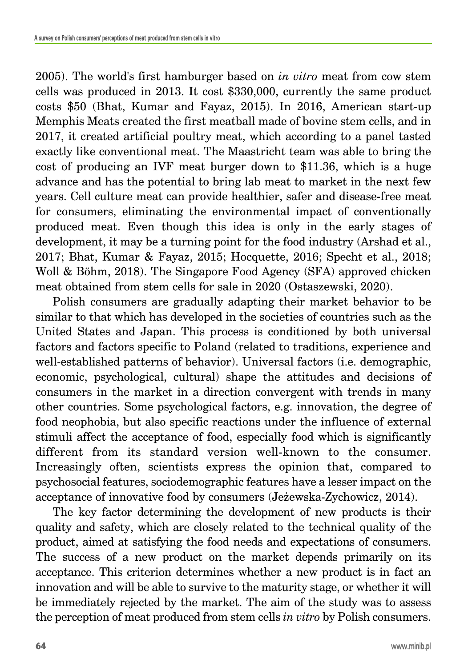2005). The world's first hamburger based on *in vitro* meat from cow stem cells was produced in 2013. It cost \$330,000, currently the same product costs \$50 (Bhat, Kumar and Fayaz, 2015). In 2016, American start-up Memphis Meats created the first meatball made of bovine stem cells, and in 2017, it created artificial poultry meat, which according to a panel tasted exactly like conventional meat. The Maastricht team was able to bring the cost of producing an IVF meat burger down to \$11.36, which is a huge advance and has the potential to bring lab meat to market in the next few years. Cell culture meat can provide healthier, safer and disease-free meat for consumers, eliminating the environmental impact of conventionally produced meat. Even though this idea is only in the early stages of development, it may be a turning point for the food industry (Arshad et al., 2017; Bhat, Kumar & Fayaz, 2015; Hocquette, 2016; Specht et al., 2018; Woll & Böhm, 2018). The Singapore Food Agency (SFA) approved chicken meat obtained from stem cells for sale in 2020 (Ostaszewski, 2020).

Polish consumers are gradually adapting their market behavior to be similar to that which has developed in the societies of countries such as the United States and Japan. This process is conditioned by both universal factors and factors specific to Poland (related to traditions, experience and well-established patterns of behavior). Universal factors (i.e. demographic, economic, psychological, cultural) shape the attitudes and decisions of consumers in the market in a direction convergent with trends in many other countries. Some psychological factors, e.g. innovation, the degree of food neophobia, but also specific reactions under the influence of external stimuli affect the acceptance of food, especially food which is significantly different from its standard version well-known to the consumer. Increasingly often, scientists express the opinion that, compared to psychosocial features, sociodemographic features have a lesser impact on the acceptance of innovative food by consumers (Jeżewska-Zychowicz, 2014).

The key factor determining the development of new products is their quality and safety, which are closely related to the technical quality of the product, aimed at satisfying the food needs and expectations of consumers. The success of a new product on the market depends primarily on its acceptance. This criterion determines whether a new product is in fact an innovation and will be able to survive to the maturity stage, or whether it will be immediately rejected by the market. The aim of the study was to assess the perception of meat produced from stem cells *in vitro* by Polish consumers.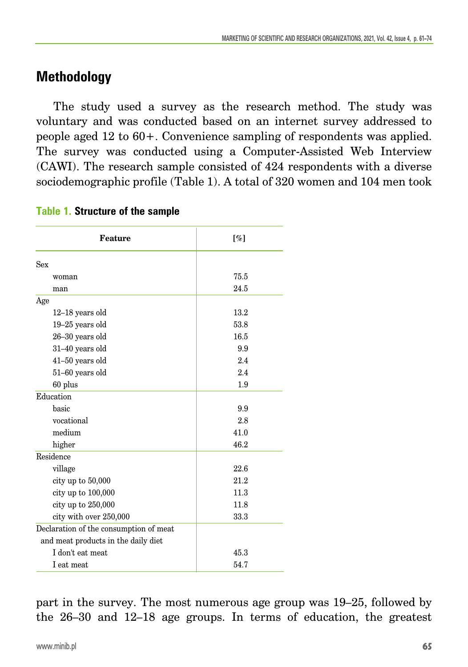# **Methodology**

The study used a survey as the research method. The study was voluntary and was conducted based on an internet survey addressed to people aged 12 to 60+. Convenience sampling of respondents was applied. The survey was conducted using a Computer-Assisted Web Interview (CAWI). The research sample consisted of 424 respondents with a diverse sociodemographic profile (Table 1). A total of 320 women and 104 men took

| <b>Feature</b>                         | $\lceil \% \rceil$ |
|----------------------------------------|--------------------|
| <b>Sex</b>                             |                    |
| woman                                  | 75.5               |
| man                                    | 24.5               |
| Age                                    |                    |
| $12-18$ years old                      | 13.2               |
| $19-25$ years old                      | 53.8               |
| $26-30$ years old                      | 16.5               |
| $31-40$ years old                      | 9.9                |
| $41-50$ years old                      | 2.4                |
| $51-60$ years old                      | 2.4                |
| 60 plus                                | 1.9                |
| Education                              |                    |
| basic                                  | 9.9                |
| vocational                             | 2.8                |
| medium                                 | 41.0               |
| higher                                 | 46.2               |
| Residence                              |                    |
| village                                | 22.6               |
| city up to $50,000$                    | 21.2               |
| city up to $100,000$                   | 11.3               |
| city up to 250,000                     | 11.8               |
| city with over 250,000                 | 33.3               |
| Declaration of the consumption of meat |                    |
| and meat products in the daily diet    |                    |
| I don't eat meat                       | 45.3               |
| I eat meat                             | 54.7               |

#### **Table 1. Structure of the sample**

part in the survey. The most numerous age group was 19–25, followed by the 26–30 and 12–18 age groups. In terms of education, the greatest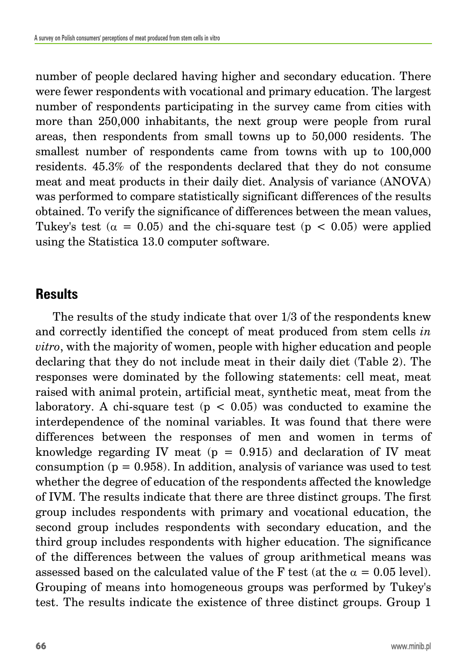number of people declared having higher and secondary education. There were fewer respondents with vocational and primary education. The largest number of respondents participating in the survey came from cities with more than 250,000 inhabitants, the next group were people from rural areas, then respondents from small towns up to 50,000 residents. The smallest number of respondents came from towns with up to 100,000 residents. 45.3% of the respondents declared that they do not consume meat and meat products in their daily diet. Analysis of variance (ANOVA) was performed to compare statistically significant differences of the results obtained. To verify the significance of differences between the mean values, Tukey's test ( $\alpha = 0.05$ ) and the chi-square test ( $p < 0.05$ ) were applied using the Statistica 13.0 computer software.

## **Results**

The results of the study indicate that over 1/3 of the respondents knew and correctly identified the concept of meat produced from stem cells *in vitro*, with the majority of women, people with higher education and people declaring that they do not include meat in their daily diet (Table 2). The responses were dominated by the following statements: cell meat, meat raised with animal protein, artificial meat, synthetic meat, meat from the laboratory. A chi-square test  $(p < 0.05)$  was conducted to examine the interdependence of the nominal variables. It was found that there were differences between the responses of men and women in terms of knowledge regarding IV meat  $(p = 0.915)$  and declaration of IV meat consumption ( $p = 0.958$ ). In addition, analysis of variance was used to test whether the degree of education of the respondents affected the knowledge of IVM. The results indicate that there are three distinct groups. The first group includes respondents with primary and vocational education, the second group includes respondents with secondary education, and the third group includes respondents with higher education. The significance of the differences between the values of group arithmetical means was assessed based on the calculated value of the F test (at the  $\alpha = 0.05$  level). Grouping of means into homogeneous groups was performed by Tukey's test. The results indicate the existence of three distinct groups. Group 1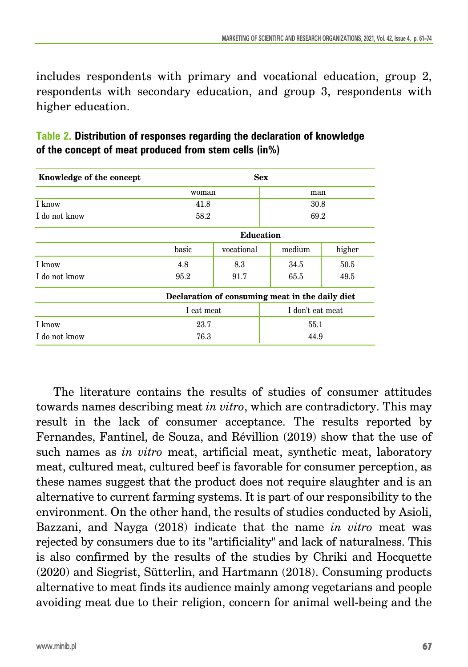includes respondents with primary and vocational education, group 2, respondents with secondary education, and group 3, respondents with higher education.

| Knowledge of the concept | <b>Sex</b>       |            |                                                 |        |
|--------------------------|------------------|------------|-------------------------------------------------|--------|
|                          | woman            |            | man                                             |        |
| I know                   | 41.8             |            | 30.8                                            |        |
| I do not know            | 58.2             |            | 69.2                                            |        |
|                          | <b>Education</b> |            |                                                 |        |
|                          | basic            | vocational | medium                                          | higher |
| I know                   | 4.8              | 8.3        | 34.5                                            | 50.5   |
| I do not know            | 95.2             | 91.7       | 65.5                                            | 49.5   |
|                          |                  |            | Declaration of consuming meat in the daily diet |        |
|                          | I eat meat       |            | I don't eat meat                                |        |
| I know                   | 23.7             |            | 55.1                                            |        |
| I do not know            | 76.3             |            | 44.9                                            |        |

## **Table 2. Distribution of responses regarding the declaration of knowledge of the concept of meat produced from stem cells (in%)**

The literature contains the results of studies of consumer attitudes towards names describing meat *in vitro*, which are contradictory. This may result in the lack of consumer acceptance. The results reported by Fernandes, Fantinel, de Souza, and Révillion (2019) show that the use of such names as *in vitro* meat, artificial meat, synthetic meat, laboratory meat, cultured meat, cultured beef is favorable for consumer perception, as these names suggest that the product does not require slaughter and is an alternative to current farming systems. It is part of our responsibility to the environment. On the other hand, the results of studies conducted by Asioli, Bazzani, and Nayga (2018) indicate that the name *in vitro* meat was rejected by consumers due to its "artificiality" and lack of naturalness. This is also confirmed by the results of the studies by Chriki and Hocquette (2020) and Siegrist, Sütterlin, and Hartmann (2018). Consuming products alternative to meat finds its audience mainly among vegetarians and people avoiding meat due to their religion, concern for animal well-being and the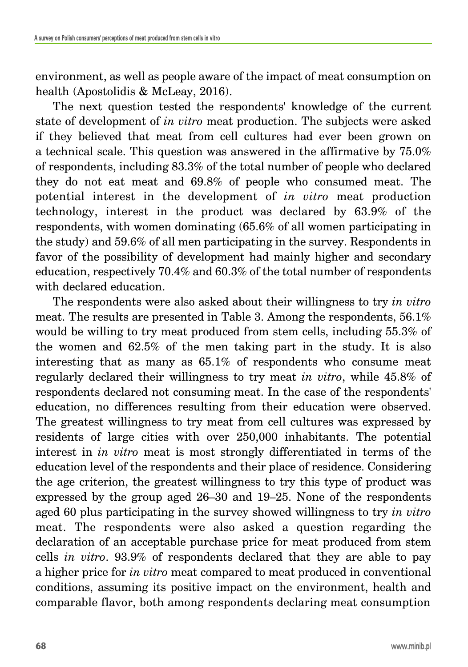environment, as well as people aware of the impact of meat consumption on health (Apostolidis & McLeay, 2016).

The next question tested the respondents' knowledge of the current state of development of *in vitro* meat production. The subjects were asked if they believed that meat from cell cultures had ever been grown on a technical scale. This question was answered in the affirmative by 75.0% of respondents, including 83.3% of the total number of people who declared they do not eat meat and 69.8% of people who consumed meat. The potential interest in the development of *in vitro* meat production technology, interest in the product was declared by 63.9% of the respondents, with women dominating (65.6% of all women participating in the study) and 59.6% of all men participating in the survey. Respondents in favor of the possibility of development had mainly higher and secondary education, respectively 70.4% and 60.3% of the total number of respondents with declared education.

The respondents were also asked about their willingness to try *in vitro* meat. The results are presented in Table 3. Among the respondents, 56.1% would be willing to try meat produced from stem cells, including 55.3% of the women and 62.5% of the men taking part in the study. It is also interesting that as many as 65.1% of respondents who consume meat regularly declared their willingness to try meat *in vitro*, while 45.8% of respondents declared not consuming meat. In the case of the respondents' education, no differences resulting from their education were observed. The greatest willingness to try meat from cell cultures was expressed by residents of large cities with over 250,000 inhabitants. The potential interest in *in vitro* meat is most strongly differentiated in terms of the education level of the respondents and their place of residence. Considering the age criterion, the greatest willingness to try this type of product was expressed by the group aged 26–30 and 19–25. None of the respondents aged 60 plus participating in the survey showed willingness to try *in vitro* meat. The respondents were also asked a question regarding the declaration of an acceptable purchase price for meat produced from stem cells *in vitro*. 93.9% of respondents declared that they are able to pay a higher price for *in vitro* meat compared to meat produced in conventional conditions, assuming its positive impact on the environment, health and comparable flavor, both among respondents declaring meat consumption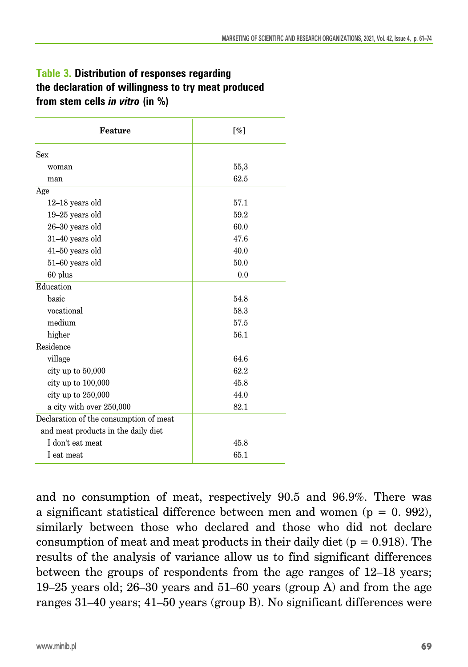### **Table 3. Distribution of responses regarding the declaration of willingness to try meat produced from stem cells** *in vitro* **(in %)**

| Feature                                | $\lceil \% \rceil$ |  |
|----------------------------------------|--------------------|--|
| <b>Sex</b>                             |                    |  |
| woman                                  | 55,3               |  |
| man                                    | 62.5               |  |
| Age                                    |                    |  |
| 12-18 years old                        | 57.1               |  |
| $19-25$ years old                      | 59.2               |  |
| 26-30 years old                        | 60.0               |  |
| 31-40 years old                        | 47.6               |  |
| $41-50$ years old                      | 40.0               |  |
| 51-60 years old                        | 50.0               |  |
| 60 plus                                | 0.0                |  |
| Education                              |                    |  |
| hasic                                  | 54.8               |  |
| vocational                             | 58.3               |  |
| medium                                 | 57.5               |  |
| higher                                 | 56.1               |  |
| Residence                              |                    |  |
| village                                | 64.6               |  |
| city up to 50,000                      | 62.2               |  |
| city up to $100,000$                   | 45.8               |  |
| city up to 250,000                     | 44.0               |  |
| a city with over 250,000               | 82.1               |  |
| Declaration of the consumption of meat |                    |  |
| and meat products in the daily diet    |                    |  |
| I don't eat meat                       | 45.8               |  |
| I eat meat                             | 65.1               |  |

and no consumption of meat, respectively 90.5 and 96.9%. There was a significant statistical difference between men and women  $(p = 0.992)$ , similarly between those who declared and those who did not declare consumption of meat and meat products in their daily diet ( $p = 0.918$ ). The results of the analysis of variance allow us to find significant differences between the groups of respondents from the age ranges of 12–18 years; 19–25 years old; 26–30 years and 51–60 years (group A) and from the age ranges 31–40 years; 41–50 years (group B). No significant differences were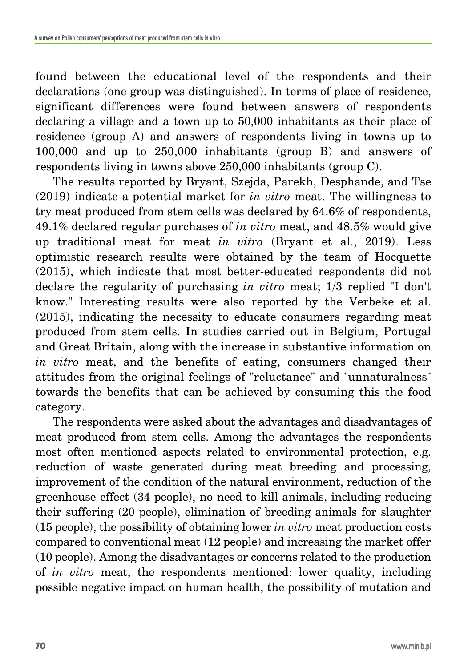found between the educational level of the respondents and their declarations (one group was distinguished). In terms of place of residence, significant differences were found between answers of respondents declaring a village and a town up to 50,000 inhabitants as their place of residence (group A) and answers of respondents living in towns up to 100,000 and up to 250,000 inhabitants (group B) and answers of respondents living in towns above 250,000 inhabitants (group C).

The results reported by Bryant, Szejda, Parekh, Desphande, and Tse (2019) indicate a potential market for *in vitro* meat. The willingness to try meat produced from stem cells was declared by 64.6% of respondents, 49.1% declared regular purchases of *in vitro* meat, and 48.5% would give up traditional meat for meat *in vitro* (Bryant et al., 2019). Less optimistic research results were obtained by the team of Hocquette (2015), which indicate that most better-educated respondents did not declare the regularity of purchasing *in vitro* meat; 1/3 replied "I don't know." Interesting results were also reported by the Verbeke et al. (2015), indicating the necessity to educate consumers regarding meat produced from stem cells. In studies carried out in Belgium, Portugal and Great Britain, along with the increase in substantive information on *in vitro* meat, and the benefits of eating, consumers changed their attitudes from the original feelings of "reluctance" and "unnaturalness" towards the benefits that can be achieved by consuming this the food category.

The respondents were asked about the advantages and disadvantages of meat produced from stem cells. Among the advantages the respondents most often mentioned aspects related to environmental protection, e.g. reduction of waste generated during meat breeding and processing, improvement of the condition of the natural environment, reduction of the greenhouse effect (34 people), no need to kill animals, including reducing their suffering (20 people), elimination of breeding animals for slaughter (15 people), the possibility of obtaining lower *in vitro* meat production costs compared to conventional meat (12 people) and increasing the market offer (10 people). Among the disadvantages or concerns related to the production of *in vitro* meat, the respondents mentioned: lower quality, including possible negative impact on human health, the possibility of mutation and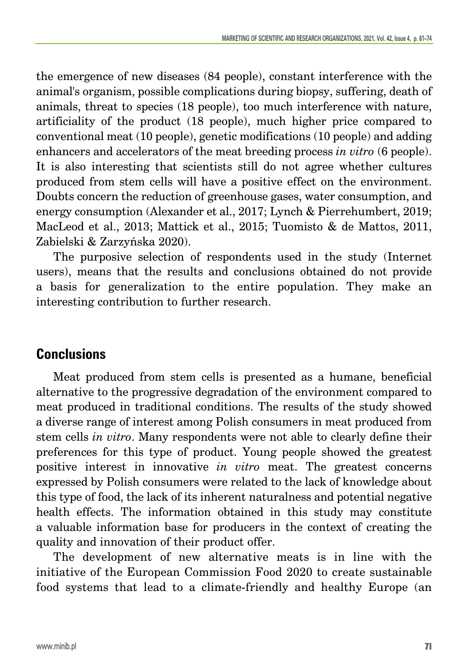the emergence of new diseases (84 people), constant interference with the animal's organism, possible complications during biopsy, suffering, death of animals, threat to species (18 people), too much interference with nature, artificiality of the product (18 people), much higher price compared to conventional meat (10 people), genetic modifications (10 people) and adding enhancers and accelerators of the meat breeding process *in vitro* (6 people). It is also interesting that scientists still do not agree whether cultures produced from stem cells will have a positive effect on the environment. Doubts concern the reduction of greenhouse gases, water consumption, and energy consumption (Alexander et al., 2017; Lynch & Pierrehumbert, 2019; MacLeod et al., 2013; Mattick et al., 2015; Tuomisto & de Mattos, 2011, Zabielski & Zarzyńska 2020).

The purposive selection of respondents used in the study (Internet users), means that the results and conclusions obtained do not provide a basis for generalization to the entire population. They make an interesting contribution to further research.

## **Conclusions**

Meat produced from stem cells is presented as a humane, beneficial alternative to the progressive degradation of the environment compared to meat produced in traditional conditions. The results of the study showed a diverse range of interest among Polish consumers in meat produced from stem cells *in vitro*. Many respondents were not able to clearly define their preferences for this type of product. Young people showed the greatest positive interest in innovative *in vitro* meat. The greatest concerns expressed by Polish consumers were related to the lack of knowledge about this type of food, the lack of its inherent naturalness and potential negative health effects. The information obtained in this study may constitute a valuable information base for producers in the context of creating the quality and innovation of their product offer.

The development of new alternative meats is in line with the initiative of the European Commission Food 2020 to create sustainable food systems that lead to a climate-friendly and healthy Europe (an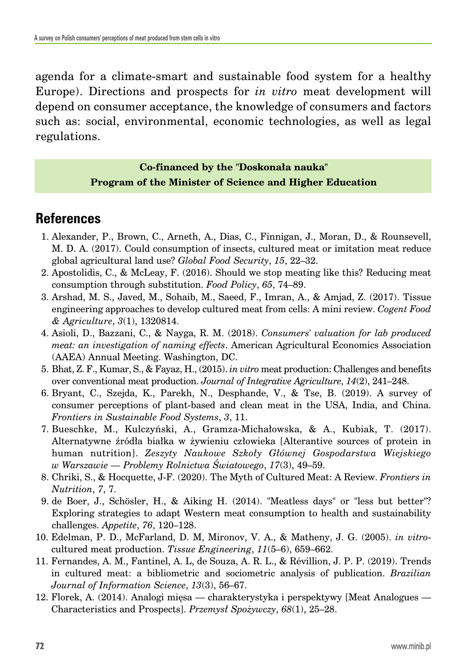agenda for a climate-smart and sustainable food system for a healthy Europe). Directions and prospects for *in vitro* meat development will depend on consumer acceptance, the knowledge of consumers and factors such as: social, environmental, economic technologies, as well as legal regulations.

## **Co-financed by the "Doskonała nauka" Program of the Minister of Science and Higher Education**

# **References**

- 1. Alexander, P., Brown, C., Arneth, A., Dias, C., Finnigan, J., Moran, D., & Rounsevell, M. D. A. (2017). Could consumption of insects, cultured meat or imitation meat reduce global agricultural land use? *Global Food Security*, *15*, 22–32.
- 2. Apostolidis, C., & McLeay, F. (2016). Should we stop meating like this? Reducing meat consumption through substitution. *Food Policy*, *65*, 74–89.
- 3. Arshad, M. S., Javed, M., Sohaib, M., Saeed, F., Imran, A., & Amjad, Z. (2017). Tissue engineering approaches to develop cultured meat from cells: A mini review. *Cogent Food & Agriculture*, *3*(1), 1320814.
- 4. Asioli, D., Bazzani, C., & Nayga, R. M. (2018). *Consumers' valuation for lab produced meat: an investigation of naming effects*. American Agricultural Economics Association (AAEA) Annual Meeting. Washington, DC.
- 5. Bhat, Z. F., Kumar, S., & Fayaz, H., (2015). *in vitro* meat production: Challenges and benefits over conventional meat production. *Journal of Integrative Agriculture*, *14*(2), 241–248.
- 6. Bryant, C., Szejda, K., Parekh, N., Desphande, V., & Tse, B. (2019). A survey of consumer perceptions of plant-based and clean meat in the USA, India, and China. *Frontiers in Sustainable Food Systems*, *3*, 11.
- 7. Bueschke, M., Kulczyński, A., Gramza-Michałowska, & A., Kubiak, T. (2017). Alternatywne źródła białka w żywieniu człowieka [Alterantive sources of protein in human nutrition]. *Zeszyty Naukowe Szkoły Głównej Gospodarstwa Wiejskiego w Warszawie — Problemy Rolnictwa Światowego*, *17*(3), 49–59.
- 8. Chriki, S., & Hocquette, J-F. (2020). The Myth of Cultured Meat: A Review. *Frontiers in Nutrition*, *7*, 7.
- 9. de Boer, J., Schösler, H., & Aiking H. (2014). "Meatless days" or "less but better"? Exploring strategies to adapt Western meat consumption to health and sustainability challenges. *Appetite*, *76*, 120–128.
- 10. Edelman, P. D., McFarland, D. M, Mironov, V. A., & Matheny, J. G. (2005). *in vitro*cultured meat production. *Tissue Engineering*, *11*(5–6), 659–662.
- 11. Fernandes, A. M., Fantinel, A. L, de Souza, A. R. L., & Révillion, J. P. P. (2019). Trends in cultured meat: a bibliometric and sociometric analysis of publication. *Brazilian Journal of Information Science*, *13*(3), 56–67.
- 12. Florek, A. (2014). Analogi mięsa charakterystyka i perspektywy [Meat Analogues Characteristics and Prospects]. *Przemysł Spożywczy*, *68*(1), 25–28.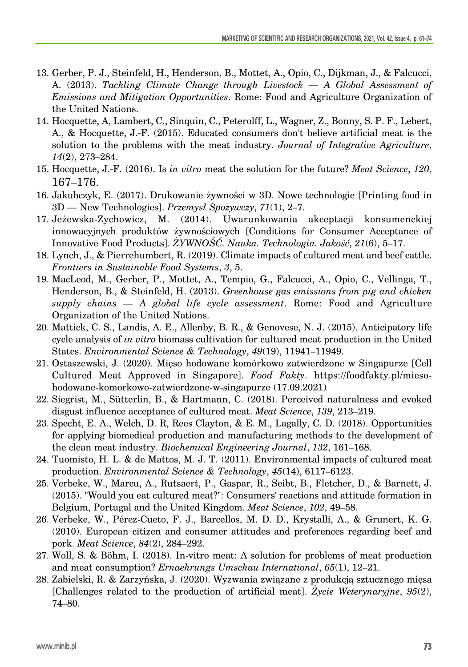- 13. Gerber, P. J., Steinfeld, H., Henderson, B., Mottet, A., Opio, C., Dijkman, J., & Falcucci, A. (2013). *Tackling Climate Change through Livestock — A Global Assessment of Emissions and Mitigation Opportunities*. Rome: Food and Agriculture Organization of the United Nations.
- 14. Hocquette, A, Lambert, C., Sinquin, C., Peterolff, L., Wagner, Z., Bonny, S. P. F., Lebert, A., & Hocquette, J.-F. (2015). Educated consumers don't believe artificial meat is the solution to the problems with the meat industry. *Journal of Integrative Agriculture*, *14*(2), 273–284.
- 15. Hocquette, J.-F. (2016). Is *in vitro* meat the solution for the future? *Meat Science*, *120*, 167–176.
- 16. Jakubczyk, E. (2017). Drukowanie żywności w 3D. Nowe technologie [Printing food in 3D — New Technologies]. *Przemysł Spożywczy*, *71*(1), 2–7.
- 17. Jeżewska-Zychowicz, M. (2014). Uwarunkowania akceptacji konsumenckiej innowacyjnych produktów żywnościowych [Conditions for Consumer Acceptance of Innovative Food Products]. *ŻYWNOŚĆ. Nauka. Technologia. Jakość*, *21*(6), 5–17.
- 18. Lynch, J., & Pierrehumbert, R. (2019). Climate impacts of cultured meat and beef cattle. *Frontiers in Sustainable Food Systems*, *3*, 5.
- 19. MacLeod, M., Gerber, P., Mottet, A., Tempio, G., Falcucci, A., Opio, C., Vellinga, T., Henderson, B., & Steinfeld, H. (2013). *Greenhouse gas emissions from pig and chicken supply chains — A global life cycle assessment*. Rome: Food and Agriculture Organization of the United Nations.
- 20. Mattick, C. S., Landis, A. E., Allenby, B. R., & Genovese, N. J. (2015). Anticipatory life cycle analysis of *in vitro* biomass cultivation for cultured meat production in the United States. *Environmental Science & Technology*, *49*(19), 11941–11949.
- 21. Ostaszewski, J. (2020). Mięso hodowane komórkowo zatwierdzone w Singapurze [Cell Cultured Meat Approved in Singapore]. *Food Fakty*. https://foodfakty.pl/miesohodowane-komorkowo-zatwierdzone-w-singapurze (17.09.2021)
- 22. Siegrist, M., Sütterlin, B., & Hartmann, C. (2018). Perceived naturalness and evoked disgust influence acceptance of cultured meat. *Meat Science*, *139*, 213–219.
- 23. Specht, E. A., Welch, D. R, Rees Clayton, & E. M., Lagally, C. D. (2018). Opportunities for applying biomedical production and manufacturing methods to the development of the clean meat industry. *Biochemical Engineering Journal*, *132*, 161–168.
- 24. Tuomisto, H. L. & de Mattos, M. J. T. (2011). Environmental impacts of cultured meat production. *Environmental Science & Technology*, *45*(14), 6117–6123.
- 25. Verbeke, W., Marcu, A., Rutsaert, P., Gaspar, R., Seibt, B., Fletcher, D., & Barnett, J. (2015). "Would you eat cultured meat?": Consumers' reactions and attitude formation in Belgium, Portugal and the United Kingdom. *Meat Science*, *102*, 49–58.
- 26. Verbeke, W., Pérez-Cueto, F. J., Barcellos, M. D. D., Krystalli, A., & Grunert, K. G. (2010). European citizen and consumer attitudes and preferences regarding beef and pork. *Meat Science*, *84*(2), 284–292.
- 27. Woll, S. & Böhm, I. (2018). In-vitro meat: A solution for problems of meat production and meat consumption? *Ernaehrungs Umschau International*, *65*(1), 12–21.
- 28. Zabielski, R. & Zarzyńska, J. (2020). Wyzwania związane z produkcją sztucznego mięsa [Challenges related to the production of artificial meat]. *Życie Weterynaryjne*, *95*(2), 74–80.